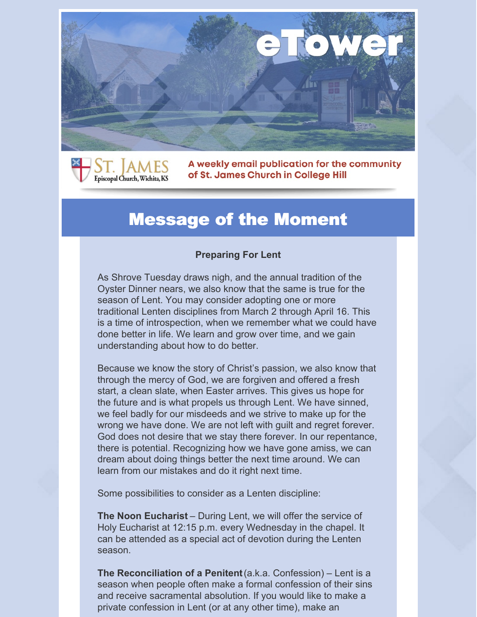



A weekly email publication for the community of St. James Church in College Hill

## Message of the Moment

#### **Preparing For Lent**

As Shrove Tuesday draws nigh, and the annual tradition of the Oyster Dinner nears, we also know that the same is true for the season of Lent. You may consider adopting one or more traditional Lenten disciplines from March 2 through April 16. This is a time of introspection, when we remember what we could have done better in life. We learn and grow over time, and we gain understanding about how to do better.

Because we know the story of Christ's passion, we also know that through the mercy of God, we are forgiven and offered a fresh start, a clean slate, when Easter arrives. This gives us hope for the future and is what propels us through Lent. We have sinned, we feel badly for our misdeeds and we strive to make up for the wrong we have done. We are not left with guilt and regret forever. God does not desire that we stay there forever. In our repentance, there is potential. Recognizing how we have gone amiss, we can dream about doing things better the next time around. We can learn from our mistakes and do it right next time.

Some possibilities to consider as a Lenten discipline:

**The Noon Eucharist** – During Lent, we will offer the service of Holy Eucharist at 12:15 p.m. every Wednesday in the chapel. It can be attended as a special act of devotion during the Lenten season.

**The Reconciliation of a Penitent**(a.k.a. Confession) – Lent is a season when people often make a formal confession of their sins and receive sacramental absolution. If you would like to make a private confession in Lent (or at any other time), make an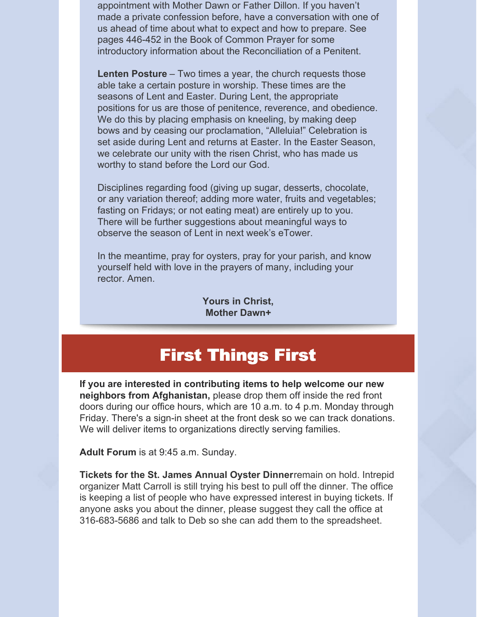appointment with Mother Dawn or Father Dillon. If you haven't made a private confession before, have a conversation with one of us ahead of time about what to expect and how to prepare. See pages 446-452 in the Book of Common Prayer for some introductory information about the Reconciliation of a Penitent.

**Lenten Posture** – Two times a year, the church requests those able take a certain posture in worship. These times are the seasons of Lent and Easter. During Lent, the appropriate positions for us are those of penitence, reverence, and obedience. We do this by placing emphasis on kneeling, by making deep bows and by ceasing our proclamation, "Alleluia!" Celebration is set aside during Lent and returns at Easter. In the Easter Season, we celebrate our unity with the risen Christ, who has made us worthy to stand before the Lord our God.

Disciplines regarding food (giving up sugar, desserts, chocolate, or any variation thereof; adding more water, fruits and vegetables; fasting on Fridays; or not eating meat) are entirely up to you. There will be further suggestions about meaningful ways to observe the season of Lent in next week's eTower.

In the meantime, pray for oysters, pray for your parish, and know yourself held with love in the prayers of many, including your rector. Amen.

> **Yours in Christ, Mother Dawn+**

## First Things First

**If you are interested in contributing items to help welcome our new neighbors from Afghanistan,** please drop them off inside the red front doors during our office hours, which are 10 a.m. to 4 p.m. Monday through Friday. There's a sign-in sheet at the front desk so we can track donations. We will deliver items to organizations directly serving families.

**Adult Forum** is at 9:45 a.m. Sunday.

**Tickets for the St. James Annual Oyster Dinner**remain on hold. Intrepid organizer Matt Carroll is still trying his best to pull off the dinner. The office is keeping a list of people who have expressed interest in buying tickets. If anyone asks you about the dinner, please suggest they call the office at 316-683-5686 and talk to Deb so she can add them to the spreadsheet.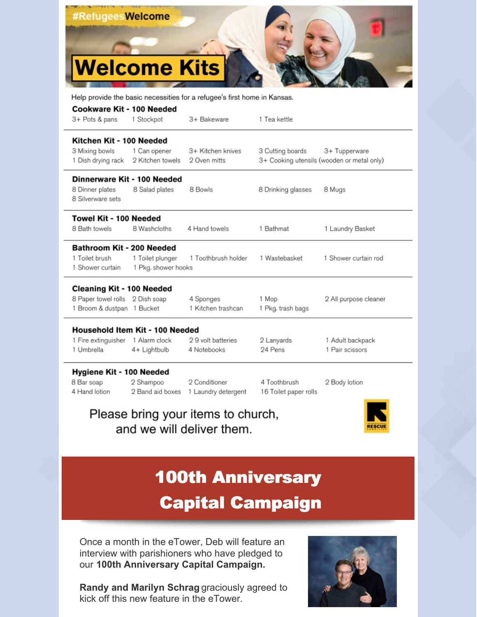

Help provide the basic necessities for a refugee's first home in Kansas.

|                                      | Cookware Kit - 100 Needed              |                                   |                                            |                       |
|--------------------------------------|----------------------------------------|-----------------------------------|--------------------------------------------|-----------------------|
| 3+ Pots & pans                       | 1 Stockpot                             | 3+ Bakeware                       | 1 Tea kettle                               |                       |
| Kitchen Kit - 100 Needed             |                                        |                                   |                                            |                       |
| 3 Mixing bowls                       | 1 Can opener                           | 3+ Kitchen knives                 | 3 Cutting boards                           | 3+ Tupperware         |
| 1 Dish drying rack                   | 2 Kitchen towels                       | 2 Oven mitts                      | 3+ Cooking utensils (wooden or metal only) |                       |
|                                      | Dinnerware Kit - 100 Needed            |                                   |                                            |                       |
| 8 Dinner plates<br>8 Silverware sets | 8 Salad plates                         | 8 Bowls                           | 8 Drinking glasses                         | 8 Mugs                |
| Towel Kit - 100 Needed               |                                        |                                   |                                            |                       |
| 8 Bath towels                        | 8 Washcloths                           | 4 Hand towels                     | 1 Bathmat                                  | 1 Laundry Basket      |
|                                      | Bathroom Kit - 200 Needed              |                                   |                                            |                       |
| 1 Toilet brush                       | 1 Toilet plunger                       | 1 Toothbrush holder               | 1 Wastebasket                              | 1 Shower curtain rod  |
| 1 Shower curtain                     | 1 Pkg. shower hooks                    |                                   |                                            |                       |
| <b>Cleaning Kit - 100 Needed</b>     |                                        |                                   |                                            |                       |
| 8 Paper towel rolls 2 Dish soap      |                                        | 4 Sponges                         | 1 Mop                                      | 2 All purpose cleaner |
| 1 Broom & dustpan 1 Bucket           |                                        | 1 Kitchen trashcan                | 1 Pkg. trash bags                          |                       |
|                                      | <b>Household Item Kit - 100 Needed</b> |                                   |                                            |                       |
| 1 Fire extinguisher                  | 1 Alarm clock                          | 29 volt batteries                 | 2 Lanyards                                 | 1 Adult backpack      |
| 1 Umbrella                           | 4+ Lightbulb                           | 4 Notebooks                       | 24 Pens                                    | 1 Pair scissors       |
| Hygiene Kit - 100 Needed             |                                        |                                   |                                            |                       |
| 8 Bar soap                           | 2 Shampoo                              | 2 Conditioner                     | 4 Toothbrush                               | 2 Body lotion         |
| 4 Hand lotion                        | 2 Band aid boxes                       | 1 Laundry detergent               | 16 Toilet paper rolls                      |                       |
|                                      |                                        |                                   |                                            |                       |
|                                      |                                        | Ploase bring vous items to obuseb |                                            |                       |

#### Please bring your items to church, and we will deliver them.



# 100th Anniversary Capital Campaign

Once a month in the eTower, Deb will feature an interview with parishioners who have pledged to our **100th Anniversary Capital Campaign.**

**Randy and Marilyn Schrag** graciously agreed to kick off this new feature in the eTower.

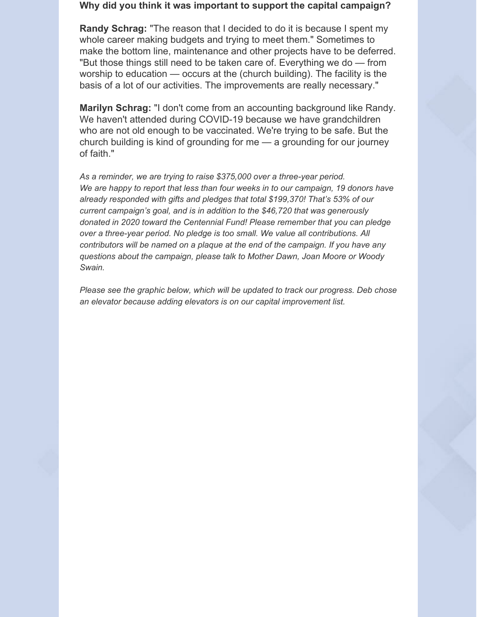#### **Why did you think it was important to support the capital campaign?**

**Randy Schrag:** "The reason that I decided to do it is because I spent my whole career making budgets and trying to meet them." Sometimes to make the bottom line, maintenance and other projects have to be deferred. "But those things still need to be taken care of. Everything we do — from worship to education — occurs at the (church building). The facility is the basis of a lot of our activities. The improvements are really necessary."

**Marilyn Schrag:** "I don't come from an accounting background like Randy. We haven't attended during COVID-19 because we have grandchildren who are not old enough to be vaccinated. We're trying to be safe. But the church building is kind of grounding for me — a grounding for our journey of faith."

*As a reminder, we are trying to raise \$375,000 over a three-year period. We are happy to report that less than four weeks in to our campaign, 19 donors have already responded with gifts and pledges that total \$199,370! That's 53% of our current campaign's goal, and is in addition to the \$46,720 that was generously donated in 2020 toward the Centennial Fund! Please remember that you can pledge over a three-year period. No pledge is too small. We value all contributions. All contributors will be named on a plaque at the end of the campaign. If you have any questions about the campaign, please talk to Mother Dawn, Joan Moore or Woody Swain.*

*Please see the graphic below, which will be updated to track our progress. Deb chose an elevator because adding elevators is on our capital improvement list.*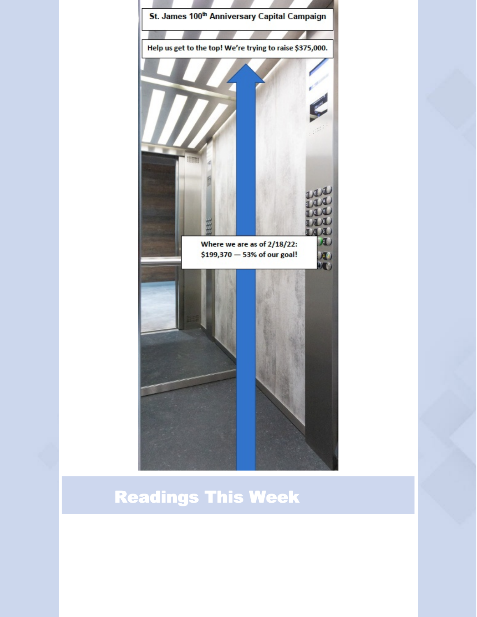

# Readings This Week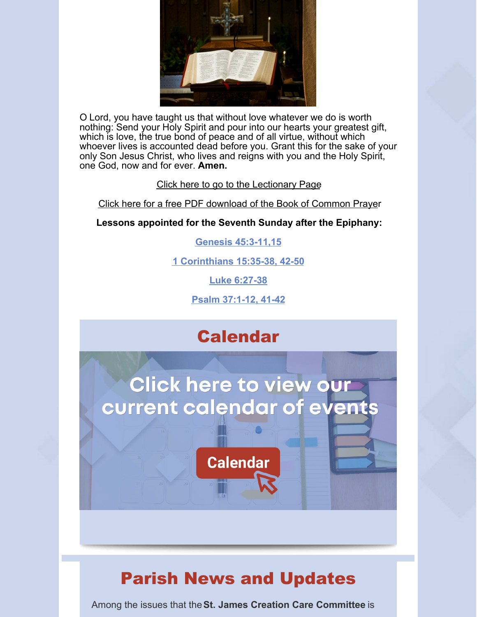

O Lord, you have taught us that without love whatever we do is worth nothing: Send your Holy Spirit and pour into our hearts your greatest gift, which is love, the true bond of peace and of all virtue, without which whoever lives is accounted dead before you. Grant this for the sake of your only Son Jesus Christ, who lives and reigns with you and the Holy Spirit, one God, now and for ever. **Amen.**

Click here to go to the [Lectionary](http://www.lectionarypage.net/) Page

Click here for a free PDF [download](http://r20.rs6.net/tn.jsp?f=0015N_tvbvXKHVacYut7FXvkn7I6o69O2USnI1fPlAahtZ2xON9qoyuGGyfPC6l-cLt3gPN5ZgAEURHf5jgifVAEuui5w5n50dzp5p0ZjPtKSixR8_PsD6pb9kNWCw0yLEwk8SxB-g9KC0otumXSFx2WpDtzUyH4sHINYTH0ij9pNGVMlrtbLmwOfVvbs_WEiCpc-Ke5WomLUJgDu9c5kfaVgZG11m8X1fhNjZspXSD-9G1P2HqRtwRvIWpVB-FM8sPhNzjkjxp_58TfdT70PLOdV6a_l8cJCz7nD7rhfgfEiiFPWiTQYaNXI5kv1ACJGmpw0hQ4y4Dok0PDg6dSb8OvakqWLNY1XfD1NSsVstjWDJbIAsOJxShoJOQL_bPKBQfEyGlhMgbdcd3rQxXlq8meGLemuPu4NxrdOqx5sC4I-Nd0KorLnITAWmYLCYG6vww8p9CZjg-NzLGyfpx33m1Y6iWv9sMT88imYcvvYc9RZ_iBFjnPDAj3jW602fh_E6RTTULNdaK7lsZr3QMUEVHgv6_9cZBf8vcHwbnrmW2p6kZ6fLXaCv3OE-UAo9rswp1afAU7KYCeFZ4ISX8oKomQg==&c=BHQXvMlfeO4ye32HE5rvdCPYjqD_v32hA7ZGwL1XZLQL4LRFC0ULXQ==&ch=1ivdUt9kYwm3-xF_6qOMkGanmDGZtZkuLBVZ7lE_LwA9GzVEuntXZQ==) of the Book of Common Prayer

**Lessons appointed for the Seventh Sunday after the Epiphany:**

**Genesis [45:3-11,15](http://www.lectionarypage.net/YearC_RCL/Epiphany/CEpi7_RCL.html#ot1)**

**1 [Corinthians](http://www.lectionarypage.net/YearC_RCL/Epiphany/CEpi7_RCL.html#nt1) 15:35-38, 42-50**

**Luke [6:27-38](http://www.lectionarypage.net/YearC_RCL/Epiphany/CEpi7_RCL.html#gsp1)**

**Psalm [37:1-12,](http://www.lectionarypage.net/YearC_RCL/Epiphany/CEpi7_RCL.html#ps1) 41-42**

## Calendar

Click here to view our current calendar of events

**Calendar** 

## Parish News and Updates

Among the issues that the**St. James Creation Care Committee** is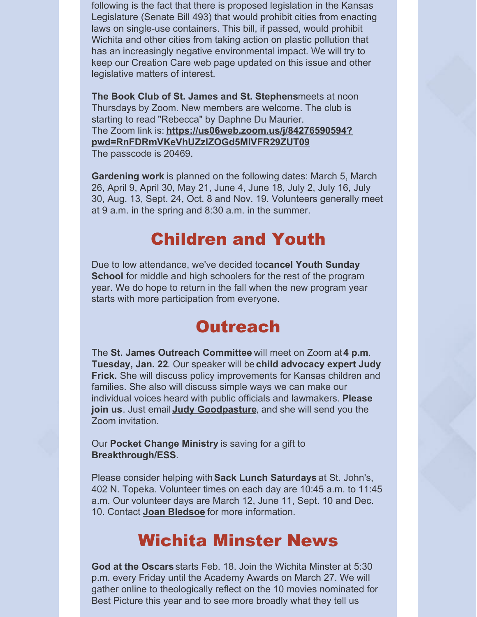following is the fact that there is proposed legislation in the Kansas Legislature (Senate Bill 493) that would prohibit cities from enacting laws on single-use containers. This bill, if passed, would prohibit Wichita and other cities from taking action on plastic pollution that has an increasingly negative environmental impact. We will try to keep our Creation Care web page updated on this issue and other legislative matters of interest.

**The Book Club of St. James and St. Stephens**meets at noon Thursdays by Zoom. New members are welcome. The club is starting to read "Rebecca" by Daphne Du Maurier. The Zoom link is: **https://us06web.zoom.us/j/84276590594? [pwd=RnFDRmVKeVhUZzlZOGd5MlVFR29ZUT09](https://us06web.zoom.us/j/84276590594?pwd=RnFDRmVKeVhUZzlZOGd5MlVFR29ZUT09)** The passcode is 20469.

**Gardening work** is planned on the following dates: March 5, March 26, April 9, April 30, May 21, June 4, June 18, July 2, July 16, July 30, Aug. 13, Sept. 24, Oct. 8 and Nov. 19. Volunteers generally meet at 9 a.m. in the spring and 8:30 a.m. in the summer.

## Children and Youth

Due to low attendance, we've decided to**cancel Youth Sunday School** for middle and high schoolers for the rest of the program year. We do hope to return in the fall when the new program year starts with more participation from everyone.

### **Outreach**

The **St. James Outreach Committee** will meet on Zoom at**4 p.m**. **Tuesday, Jan. 22**. Our speaker will be **child advocacy expert Judy Frick.** She will discuss policy improvements for Kansas children and families. She also will discuss simple ways we can make our individual voices heard with public officials and lawmakers. **Please join us**. Just email**Judy [Goodpasture](mailto:jgoodpasture@cox.net)**, and she will send you the Zoom invitation.

Our **Pocket Change Ministry** is saving for a gift to **Breakthrough/ESS**.

Please consider helping with**Sack Lunch Saturdays** at St. John's, 402 N. Topeka. Volunteer times on each day are 10:45 a.m. to 11:45 a.m. Our volunteer days are March 12, June 11, Sept. 10 and Dec. 10. Contact **Joan [Bledsoe](mailto:Pansy1918@icloud.com)** for more information.

### Wichita Minster News

**God at the Oscars** starts Feb. 18. Join the Wichita Minster at 5:30 p.m. every Friday until the Academy Awards on March 27. We will gather online to theologically reflect on the 10 movies nominated for Best Picture this year and to see more broadly what they tell us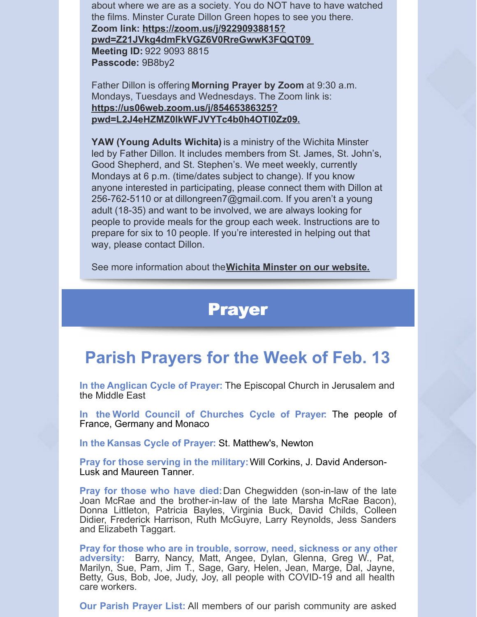about where we are as a society. You do NOT have to have watched the films. Minster Curate Dillon Green hopes to see you there. **Zoom link: https://zoom.us/j/92290938815? [pwd=Z21JVkg4dmFkVGZ6V0RreGwwK3FQQT09](https://zoom.us/j/92290938815?pwd=Z21JVkg4dmFkVGZ6V0RreGwwK3FQQT09) Meeting ID:** 922 9093 8815 **Passcode:** 9B8by2

Father Dillon is offering **Morning Prayer by Zoom** at 9:30 a.m. Mondays, Tuesdays and Wednesdays. The Zoom link is: **https://us06web.zoom.us/j/85465386325? [pwd=L2J4eHZMZ0lkWFJVYTc4b0h4OTI0Zz09](https://us06web.zoom.us/j/85465386325?pwd=L2J4eHZMZ0lkWFJVYTc4b0h4OTI0Zz09).**

**YAW (Young Adults Wichita)** is a ministry of the Wichita Minster led by Father Dillon. It includes members from St. James, St. John's, Good Shepherd, and St. Stephen's. We meet weekly, currently Mondays at 6 p.m. (time/dates subject to change). If you know anyone interested in participating, please connect them with Dillon at 256-762-5110 or at [dillongreen7@gmail.com](mailto:dillongreen7@gmail.com). If you aren't a young adult (18-35) and want to be involved, we are always looking for people to provide meals for the group each week. Instructions are to prepare for six to 10 people. If you're interested in helping out that way, please contact Dillon.

See more information about the**Wichita Minster on our [website.](https://stjameswichita.org/wichita-minster/)**

## Prayer

## **Parish Prayers for the Week of Feb. 13**

**In the [Anglican](https://www.anglicancommunion.org/resources/cycle-of-prayer/download-the-acp.aspx) Cycle of Prayer:** The Episcopal Church in Jerusalem and the Middle East

**In the World Council of [Churches](https://www.oikoumene.org/resources/prayer-cycle) Cycle of Prayer:** The people of France, Germany and Monaco

**In the [Kansas](http://www.episcopal-ks.org/resources/cycle-of-prayer.php) Cycle of Prayer:** St. Matthew's, Newton

**Pray for those serving in the military:**Will Corkins, J. David Anderson-Lusk and Maureen Tanner.

**Pray for those who have died:**Dan Chegwidden (son-in-law of the late Joan McRae and the brother-in-law of the late Marsha McRae Bacon), Donna Littleton, Patricia Bayles, Virginia Buck, David Childs, Colleen Didier, Frederick Harrison, Ruth McGuyre, Larry Reynolds, Jess Sanders and Elizabeth Taggart.

**Pray for those who are in trouble, sorrow, need, sickness or any other adversity:** Barry, Nancy, Matt, Angee, Dylan, Glenna, Greg W., Pat, Marilyn, Sue, Pam, Jim T., Sage, Gary, Helen, Jean, Marge, Dal, Jayne, Betty, Gus, Bob, Joe, Judy, Joy, all people with COVID-19 and all health care workers.

**Our Parish Prayer List:** All members of our parish community are asked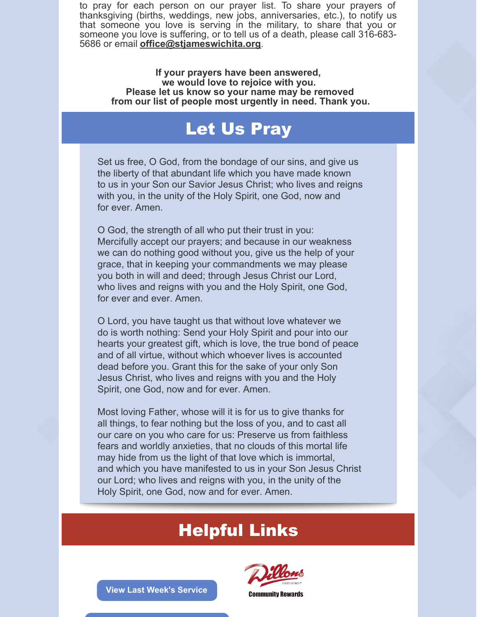to pray for each person on our prayer list. To share your prayers of thanksgiving (births, weddings, new jobs, anniversaries, etc.), to notify us that someone you love is serving in the military, to share that you or someone you love is suffering, or to tell us of a death, please call 316-683- 5686 or email **[office@stjameswichita.org](mailto:office@stjameswichita.org)**.

**If your prayers have been answered, we would love to rejoice with you. Please let us know so your name may be removed from our list of people most urgently in need. Thank you.**

## Let Us Pray

Set us free, O God, from the bondage of our sins, and give us the liberty of that abundant life which you have made known to us in your Son our Savior Jesus Christ; who lives and reigns with you, in the unity of the Holy Spirit, one God, now and for ever. Amen.

O God, the strength of all who put their trust in you: Mercifully accept our prayers; and because in our weakness we can do nothing good without you, give us the help of your grace, that in keeping your commandments we may please you both in will and deed; through Jesus Christ our Lord, who lives and reigns with you and the Holy Spirit, one God, for ever and ever. Amen.

O Lord, you have taught us that without love whatever we do is worth nothing: Send your Holy Spirit and pour into our hearts your greatest gift, which is love, the true bond of peace and of all virtue, without which whoever lives is accounted dead before you. Grant this for the sake of your only Son Jesus Christ, who lives and reigns with you and the Holy Spirit, one God, now and for ever. Amen.

Most loving Father, whose will it is for us to give thanks for all things, to fear nothing but the loss of you, and to cast all our care on you who care for us: Preserve us from faithless fears and worldly anxieties, that no clouds of this mortal life may hide from us the light of that love which is immortal, and which you have manifested to us in your Son Jesus Christ our Lord; who lives and reigns with you, in the unity of the Holy Spirit, one God, now and for ever. Amen.

### Helpful Links



**View Last Week's [Service](https://youtu.be/MBfJZoS1_UQ)**